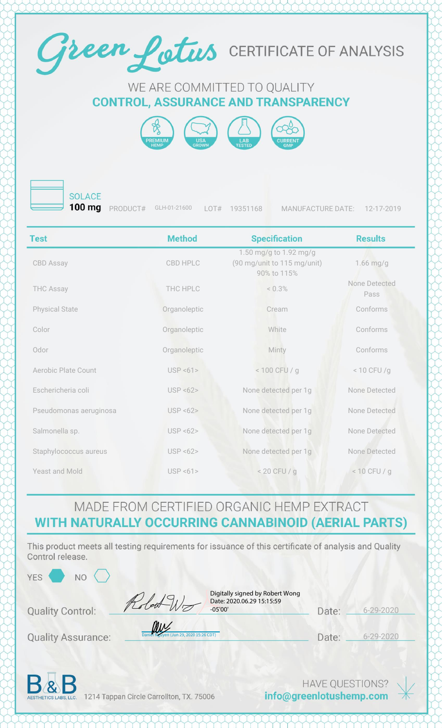

#### WE ARE COMMITTED TO QUALITY **CONTROL, ASSURANCE AND TRANSPARENCY**





**SOLACE** 

**100 mg** PRODUCT# GLH-01-21600 LOT# 19351168 MANUFACTURE DATE: 12-17-2019

| <b>Test</b>            | <b>Method</b> | <b>Specification</b>                                                 | <b>Results</b>        |
|------------------------|---------------|----------------------------------------------------------------------|-----------------------|
| CBD Assay              | CBD HPLC      | 1.50 mg/g to 1.92 mg/g<br>(90 mg/unit to 115 mg/unit)<br>90% to 115% | $1.66$ mg/g           |
| <b>THC Assay</b>       | THC HPLC      | < 0.3%                                                               | None Detected<br>Pass |
| <b>Physical State</b>  | Organoleptic  | Cream                                                                | Conforms              |
| Color                  | Organoleptic  | White                                                                | Conforms              |
| Odor                   | Organoleptic  | Minty                                                                | Conforms              |
| Aerobic Plate Count    | USP < 61      | < 100 CFU / g                                                        | $< 10$ CFU /g         |
| Eschericheria coli     | USP < 62      | None detected per 1g                                                 | None Detected         |
| Pseudomonas aeruginosa | USP < 62      | None detected per 1g                                                 | None Detected         |
| Salmonella sp.         | USP < 62      | None detected per 1g                                                 | None Detected         |
| Staphylococcus aureus  | USP < 62      | None detected per 1g                                                 | None Detected         |
| <b>Yeast and Mold</b>  | USP < 61      | $< 20$ CFU / g                                                       | $< 10$ CFU / g        |

### MADE FROM CERTIFIED ORGANIC HEMP EXTRACT WITH NATURALLY OCCURRING CANNABINOID (AERIAL PARTS)

This product meets all testing requirements for issuance of this certificate of analysis and Quality Control release.

 $15:26$  CDT)

| $^{\prime}$         |  |
|---------------------|--|
| $\overline{p}$<br>7 |  |
|                     |  |

aux

Digitally signed by Robert Wong Date: 2020.06.29 15:15:59 -05'00'

| Date: | $6 - 29 - 2020$ |
|-------|-----------------|
|       |                 |

**Quality Assurance:** 

**Quality Control:** 

N<sub>O</sub>

Date: 6-29-2020



1214 Tappan Circle Carrollton, TX. 75006

**HAVE QUESTIONS?** info@greenlotushemp.com